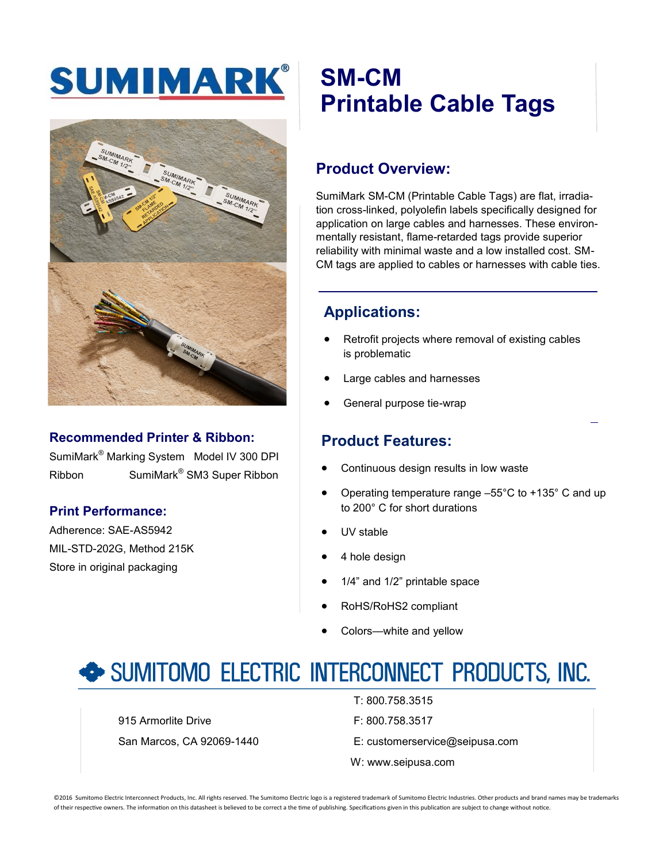## SUMIMARK®



### **Recommended Printer & Ribbon:**

SumiMark® Marking System Model IV 300 DPI Ribbon SumiMark® SM3 Super Ribbon

### **Print Performance:**

Adherence: SAE-AS5942 MIL-STD-202G, Method 215K Store in original packaging

## **SM-CM Printable Cable Tags**

### **Product Overview:**

SumiMark SM-CM (Printable Cable Tags) are flat, irradiation cross-linked, polyolefin labels specifically designed for application on large cables and harnesses. These environmentally resistant, flame-retarded tags provide superior reliability with minimal waste and a low installed cost. SM-CM tags are applied to cables or harnesses with cable ties.

### **Applications:**

- Retrofit projects where removal of existing cables is problematic
- Large cables and harnesses
- General purpose tie-wrap

### **Product Features:**

- Continuous design results in low waste
- Operating temperature range –55°C to +135° C and up to 200° C for short durations
- UV stable
- 4 hole design
- 1/4" and 1/2" printable space
- RoHS/RoHS2 compliant
- Colors-white and yellow

### SUMITOMO ELECTRIC INTERCONNECT PRODUCTS, INC.

915 Armorlite Drive **F: 800.758.3517** 

- T: 800.758.3515
- 
- San Marcos, CA 92069-1440 E: customerservice@seipusa.com
	- W: www.seipusa.com

©2016 Sumitomo Electric Interconnect Products, Inc. All rights reserved. The Sumitomo Electric logo is a registered trademark of Sumitomo Electric Industries. Other products and brand names may be trademarks of their respective owners. The information on this datasheet is believed to be correct a the time of publishing. Specifications given in this publication are subject to change without notice.